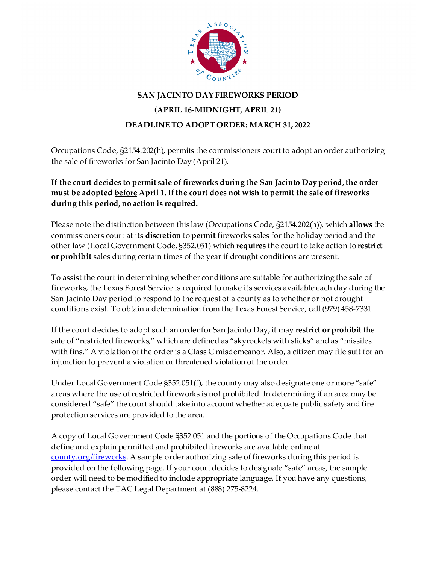

## **SAN JACINTO DAY FIREWORKS PERIOD (APRIL 16-MIDNIGHT, APRIL 21) DEADLINE TO ADOPT ORDER: MARCH 31, 2022**

Occupations Code, §2154.202(h), permits the commissioners court to adopt an order authorizing the sale of fireworks for San Jacinto Day (April 21).

**If the court decides to permit sale of fireworks during the San Jacinto Day period, the order must be adopted before April 1. If the court does not wish to permit the sale of fireworks during this period, no action is required.**

Please note the distinction between this law (Occupations Code, §2154.202(h)), which **allows** the commissioners court at its **discretion** to **permit** fireworks sales for the holiday period and the other law (Local Government Code, §352.051) which **requires** the court to take action to **restrict or prohibit** sales during certain times of the year if drought conditions are present.

To assist the court in determining whether conditions are suitable for authorizing the sale of fireworks, the Texas Forest Service is required to make its services available each day during the San Jacinto Day period to respond to the request of a county as to whether or not drought conditions exist. To obtain a determination from the Texas Forest Service, call (979) 458-7331.

If the court decides to adopt such an order for San Jacinto Day, it may **restrict or prohibit** the sale of "restricted fireworks," which are defined as "skyrockets with sticks" and as "missiles with fins." A violation of the order is a Class C misdemeanor. Also, a citizen may file suit for an injunction to prevent a violation or threatened violation of the order.

Under Local Government Code §352.051(f), the county may also designate one or more "safe" areas where the use of restricted fireworks is not prohibited. In determining if an area may be considered "safe" the court should take into account whether adequate public safety and fire protection services are provided to the area.

A copy of Local Government Code §352.051 and the portions of the Occupations Code that define and explain permitted and prohibited fireworks are available online at [county.org/fireworks](http://www.county.org/fireworks). A sample order authorizing sale of fireworks during this period is provided on the following page. If your court decides to designate "safe" areas, the sample order will need to be modified to include appropriate language. If you have any questions, please contact the TAC Legal Department at (888) 275-8224.